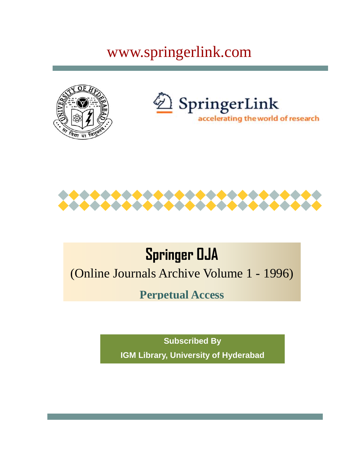## www.springerlink.com







## **Springer OJA**

(Online Journals Archive Volume 1 - 1996)

**Perpetual Access**

**Subscribed By IGM Library, University of Hyderabad**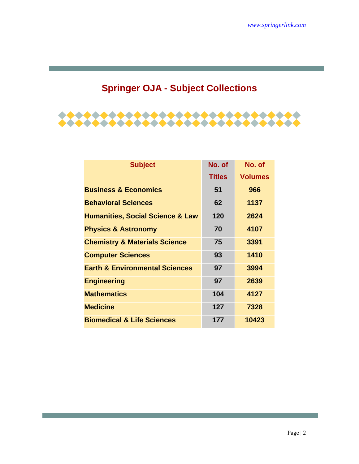## **Springer OJA - Subject Collections**



| <b>Subject</b>                              | No. of        | No. of         |
|---------------------------------------------|---------------|----------------|
|                                             | <b>Titles</b> | <b>Volumes</b> |
| <b>Business &amp; Economics</b>             | 51            | 966            |
| <b>Behavioral Sciences</b>                  | 62            | 1137           |
| <b>Humanities, Social Science &amp; Law</b> | 120           | 2624           |
| <b>Physics &amp; Astronomy</b>              | 70            | 4107           |
| <b>Chemistry &amp; Materials Science</b>    | 75            | 3391           |
| <b>Computer Sciences</b>                    | 93            | 1410           |
| <b>Earth &amp; Environmental Sciences</b>   | 97            | 3994           |
| <b>Engineering</b>                          | 97            | 2639           |
| <b>Mathematics</b>                          | 104           | 4127           |
| <b>Medicine</b>                             | 127           | 7328           |
| <b>Biomedical &amp; Life Sciences</b>       | 177           | 10423          |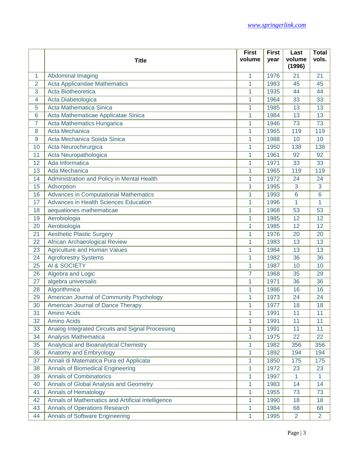|                |                                                   | <b>First</b>   | <b>First</b> | Last             | <b>Total</b>   |
|----------------|---------------------------------------------------|----------------|--------------|------------------|----------------|
|                | <b>Title</b>                                      | volume         | year         | volume<br>(1996) | vols.          |
| 1              | Abdominal Imaging                                 | 1              | 1976         | 21               | 21             |
| $\overline{2}$ | Acta Applicandae Mathematics                      | 1              | 1983         | 45               | 45             |
| 3              | Acta Biotheoretica                                | 1              | 1935         | 44               | 44             |
| 4              | Acta Diabetologica                                | 1              | 1964         | 33               | 33             |
| 5              | Acta Mathematica Sinica                           | 1              | 1985         | 13               | 13             |
| 6              | Acta Mathematicae Applicatae Sinica               | 1              | 1984         | 13               | 13             |
| $\overline{7}$ | Acta Mathematics Hungarica                        | 1              | 1946         | 73               | 73             |
| 8              | Acta Mechanica                                    | 1              | 1965         | 119              | 119            |
| 9              | Acta Mechanica Soiida Sinica                      | 1              | 1988         | 10               | 10             |
| 10             | Acta Neurochirurgica                              | 1              | 1950         | 138              | 138            |
| 11             | Acta Neuropathologica                             | 1              | 1961         | 92               | 92             |
| 12             | Ada Informatica                                   | 1              | 1971         | 33               | 33             |
| 13             | Ada Mechanica                                     | 1              | 1965         | 119              | 119            |
| 14             | Administration and Policy in Mental Health        | 1              | 1972         | 24               | 24             |
| 15             | Adsorption                                        | 1              | 1995         | 3                | 3              |
| 16             | <b>Advances in Computational Mathematics</b>      | 1              | 1993         | 6                | 6              |
| 17             | <b>Advances in Health Sciences Education</b>      | 1              | 1996         | 1                | 1              |
| 18             | aequationes mathematicae                          | 1              | 1968         | 53               | 53             |
| 19             | Aerobiologia                                      | 1              | 1985         | 12               | 12             |
| 20             | Aerobiologia                                      | 1              | 1985         | 12               | 12             |
| 21             | <b>Aesthetic Plastic Surgery</b>                  | 1              | 1976         | 20               | 20             |
| 22             | African Archaeological Review                     | 1              | 1983         | 13               | 13             |
| 23             | <b>Agriculture and Human Values</b>               | 1              | 1984         | 13               | 13             |
| 24             | <b>Agroforestry Systems</b>                       | 1              | 1982         | 36               | 36             |
| 25             | AI & SOCIETY                                      | 1              | 1987         | 10               | 10             |
| 26             | Algebra and Logic                                 | $\overline{7}$ | 1968         | 35               | 29             |
| 27             | algebra universalis                               | 1              | 1971         | 36               | 36             |
| 28             | Algorithmica                                      | 1              | 1986         | 16               | 16             |
| 29             | American Journal of Community Psychology          | 1              | 1973         | 24               | 24             |
| 30             | American Journal of Dance Therapy                 | 1              | 1977         | 18               | 18             |
| 31             | Amino Acids                                       | 1              | 1991         | 11               | 11             |
| 32             | Amino Acids                                       | 1              | 1991         | 11               | 11             |
| 33             | Analog Integrated Circuits and Signal Processing  | 1              | 1991         | 11               | 11             |
| 34             | Analysis Mathematica                              | 1              | 1975         | 22               | 22             |
| 35             | Analytical and Bioanalytical Chemistry            | 1              | 1982         | 356              | 356            |
| 36             | Anatomy and Embryology                            | 1              | 1892         | 194              | 194            |
| 37             | Annali di Matematica Pura ed Applicata            | 1              | 1850         | 175              | 175            |
| 38             | Annals of Biomedical Engineering                  | 1              | 1972         | 23               | 23             |
| 39             | <b>Annals of Combinatorics</b>                    | 1              | 1997         | 1                | 1              |
| 40             | Annals of Global Analysis and Geometry            | 1              | 1983         | 14               | 14             |
| 41             | <b>Annals of Hematology</b>                       | 1              | 1955         | 73               | 73             |
| 42             | Annals of Mathematics and Artificial Intelligence | 1              | 1990         | 18               | 18             |
| 43             | <b>Annals of Operations Research</b>              | 1              | 1984         | 68               | 68             |
| 44             | <b>Annals of Software Engineering</b>             | 1              | 1995         | $\overline{2}$   | $\overline{2}$ |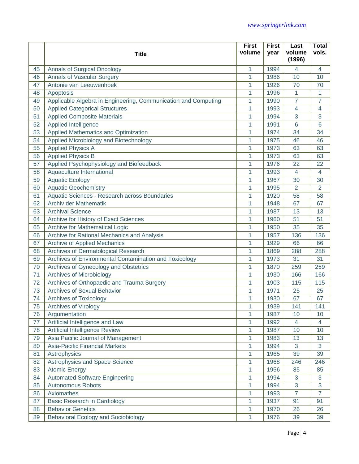|    |                                                                | <b>First</b> | <b>First</b> | Last             | <b>Total</b>    |
|----|----------------------------------------------------------------|--------------|--------------|------------------|-----------------|
|    | <b>Title</b>                                                   | volume       | year         | volume<br>(1996) | vols.           |
| 45 | <b>Annals of Surgical Oncology</b>                             | 1            | 1994         | 4                | 4               |
| 46 | <b>Annals of Vascular Surgery</b>                              | 1            | 1986         | 10               | 10              |
| 47 | Antonie van Leeuwenhoek                                        | 1            | 1926         | 70               | 70              |
| 48 | Apoptosis                                                      | 1            | 1996         | 1                | $\mathbf{1}$    |
| 49 | Applicable Algebra in Engineering, Communication and Computing | 1            | 1990         | $\overline{7}$   | $\overline{7}$  |
| 50 | <b>Applied Categorical Structures</b>                          | 1            | 1993         | $\overline{4}$   | $\overline{4}$  |
| 51 | <b>Applied Composite Materials</b>                             | 1            | 1994         | 3                | 3               |
| 52 | <b>Applied Intelligence</b>                                    | 1            | 1991         | 6                | $6\phantom{1}6$ |
| 53 | Applied Mathematics and Optimization                           | 1            | 1974         | 34               | 34              |
| 54 | Applied Microbiology and Biotechnology                         | 1            | 1975         | 46               | 46              |
| 55 | <b>Applied Physics A</b>                                       | 1            | 1973         | 63               | 63              |
| 56 | <b>Applied Physics B</b>                                       | 1            | 1973         | 63               | 63              |
| 57 | Applied Psychophysiology and Biofeedback                       | 1            | 1976         | 22               | 22              |
| 58 | Aquaculture International                                      | 1            | 1993         | $\overline{4}$   | $\overline{4}$  |
| 59 | <b>Aquatic Ecology</b>                                         | 1            | 1967         | 30               | 30              |
| 60 | <b>Aquatic Geochemistry</b>                                    | 1            | 1995         | $\overline{2}$   | $\overline{2}$  |
| 61 | Aquatic Sciences - Research across Boundaries                  | 1            | 1920         | 58               | 58              |
| 62 | Archiv der Mathematik                                          | 1            | 1948         | 67               | 67              |
| 63 | <b>Archival Science</b>                                        | 1            | 1987         | 13               | 13              |
| 64 | Archive for History of Exact Sciences                          | 1            | 1960         | 51               | 51              |
| 65 | <b>Archive for Mathematical Logic</b>                          | 1            | 1950         | 35               | 35              |
| 66 | Archive for Rational Mechanics and Analysis                    | 1            | 1957         | 136              | 136             |
| 67 | <b>Archive of Applied Mechanics</b>                            | 1            | 1929         | 66               | 66              |
| 68 | Archives of Dermatological Research                            | 1            | 1869         | 288              | 288             |
| 69 | Archives of Environmental Contamination and Toxicology         | 1            | 1973         | 31               | 31              |
| 70 | Archives of Gynecology and Obstetrics                          | 1            | 1870         | 259              | 259             |
| 71 | <b>Archives of Microbiology</b>                                | 1            | 1930         | 166              | 166             |
| 72 | Archives of Orthopaedic and Trauma Surgery                     | 1            | 1903         | 115              | 115             |
| 73 | <b>Archives of Sexual Behavior</b>                             | 1            | 1971         | 25               | 25              |
| 74 | <b>Archives of Toxicology</b>                                  | 1            | 1930         | 67               | 67              |
| 75 | <b>Archives of Virology</b>                                    | 1            | 1939         | 141              | 141             |
| 76 | Argumentation                                                  | 1            | 1987         | 10               | 10              |
| 77 | Artificial Intelligence and Law                                | 1            | 1992         | $\overline{4}$   | 4               |
| 78 | Artificial Intelligence Review                                 | 1            | 1987         | 10               | 10              |
| 79 | Asia Pacific Journal of Management                             | 1            | 1983         | 13               | 13              |
| 80 | <b>Asia-Pacific Financial Markets</b>                          | 1            | 1994         | 3                | 3               |
| 81 | Astrophysics                                                   | 1            | 1965         | 39               | 39              |
| 82 | Astrophysics and Space Science                                 | 1            | 1968         | 246              | 246             |
| 83 | <b>Atomic Energy</b>                                           | 1            | 1956         | 85               | 85              |
| 84 | <b>Automated Software Engineering</b>                          | 1            | 1994         | 3                | 3               |
| 85 | <b>Autonomous Robots</b>                                       | 1            | 1994         | 3                | 3               |
| 86 | Axiomathes                                                     | 1            | 1993         | $\overline{7}$   | $\overline{7}$  |
| 87 | <b>Basic Research in Cardiology</b>                            | 1            | 1937         | 91               | 91              |
| 88 | <b>Behavior Genetics</b>                                       | 1            | 1970         | 26               | 26              |
| 89 | <b>Behavioral Ecology and Sociobiology</b>                     | 1            | 1976         | 39               | 39              |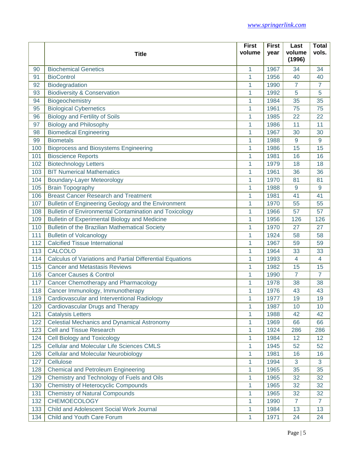|     |                                                           | <b>First</b> | <b>First</b> | Last             | <b>Total</b>   |
|-----|-----------------------------------------------------------|--------------|--------------|------------------|----------------|
|     | <b>Title</b>                                              | volume       | year         | volume<br>(1996) | vols.          |
| 90  | <b>Biochemical Genetics</b>                               | 1            | 1967         | 34               | 34             |
| 91  | <b>BioControl</b>                                         | 1            | 1956         | 40               | 40             |
| 92  | Biodegradation                                            | 1            | 1990         | $\overline{7}$   | $\overline{7}$ |
| 93  | <b>Biodiversity &amp; Conservation</b>                    | 1            | 1992         | 5                | 5              |
| 94  | Biogeochemistry                                           | 1            | 1984         | 35               | 35             |
| 95  | <b>Biological Cybernetics</b>                             | 1            | 1961         | 75               | 75             |
| 96  | <b>Biology and Fertility of Soils</b>                     | 1            | 1985         | 22               | 22             |
| 97  | <b>Biology and Philosophy</b>                             | 1            | 1986         | 11               | 11             |
| 98  | <b>Biomedical Engineering</b>                             | 1            | 1967         | 30               | 30             |
| 99  | <b>Biometals</b>                                          | 1            | 1988         | 9                | 9              |
| 100 | <b>Bioprocess and Biosystems Engineering</b>              | 1            | 1986         | 15               | 15             |
| 101 | <b>Bioscience Reports</b>                                 | 1            | 1981         | 16               | 16             |
| 102 | <b>Biotechnology Letters</b>                              | 1            | 1979         | 18               | 18             |
| 103 | <b>BIT Numerical Mathematics</b>                          | 1            | 1961         | 36               | 36             |
| 104 | <b>Boundary-Layer Meteorology</b>                         | 1            | 1970         | 81               | 81             |
| 105 | <b>Brain Topography</b>                                   | 1            | 1988         | 9                | 9              |
| 106 | <b>Breast Cancer Research and Treatment</b>               | 1            | 1981         | 41               | 41             |
| 107 | Bulletin of Engineering Geology and the Environment       | 1            | 1970         | 55               | 55             |
| 108 | Bulletin of Environmental Contamination and Toxicology    | 1            | 1966         | 57               | 57             |
| 109 | <b>Bulletin of Experimental Biology and Medicine</b>      | 1            | 1956         | 126              | 126            |
| 110 | <b>Bulletin of the Brazilian Mathematical Society</b>     | 1            | 1970         | 27               | 27             |
| 111 | <b>Bulletin of Volcanology</b>                            | 1            | 1924         | 58               | 58             |
| 112 | <b>Calcified Tissue International</b>                     | 1            | 1967         | 59               | 59             |
| 113 | <b>CALCOLO</b>                                            | 1            | 1964         | 33               | 33             |
| 114 | Calculus of Variations and Partial Differential Equations | 1            | 1993         | $\overline{4}$   | 4              |
| 115 | <b>Cancer and Metastasis Reviews</b>                      | 1            | 1982         | 15               | 15             |
| 116 | <b>Cancer Causes &amp; Control</b>                        | 1            | 1990         | $\overline{7}$   | $\overline{7}$ |
| 117 | <b>Cancer Chemotherapy and Pharmacology</b>               | 1            | 1978         | 38               | 38             |
| 118 | Cancer Immunology, Immunotherapy                          | 1            | 1976         | 43               | 43             |
| 119 | Cardiovascular and Interventional Radiology               | 1            | 1977         | 19               | 19             |
| 120 | Cardiovascular Drugs and Therapy                          | 1            | 1987         | 10               | 10             |
| 121 | <b>Catalysis Letters</b>                                  | 1            | 1988         | 42               | 42             |
| 122 | <b>Celestial Mechanics and Dynamical Astronomy</b>        | 1            | 1969         | 66               | 66             |
| 123 | <b>Cell and Tissue Research</b>                           | 1            | 1924         | 286              | 286            |
| 124 | <b>Cell Biology and Toxicology</b>                        | 1            | 1984         | 12               | 12             |
| 125 | <b>Cellular and Molecular Life Sciences CMLS</b>          | 1            | 1945         | 52               | 52             |
| 126 | <b>Cellular and Molecular Neurobiology</b>                | 1            | 1981         | 16               | 16             |
| 127 | Cellulose                                                 | 1            | 1994         | 3                | 3              |
| 128 | <b>Chemical and Petroleum Engineering</b>                 | 1            | 1965         | 35               | 35             |
| 129 | Chemistry and Technology of Fuels and Oils                | 1            | 1965         | 32               | 32             |
| 130 | <b>Chemistry of Heterocyclic Compounds</b>                | 1            | 1965         | 32               | 32             |
| 131 | <b>Chemistry of Natural Compounds</b>                     | 1            | 1965         | 32               | 32             |
| 132 | <b>CHEMOECOLOGY</b>                                       | 1            | 1990         | $\overline{7}$   | $\overline{7}$ |
| 133 | Child and Adolescent Social Work Journal                  | 1            | 1984         | 13               | 13             |
| 134 | Child and Youth Care Forum                                | 1            | 1971         | 24               | 24             |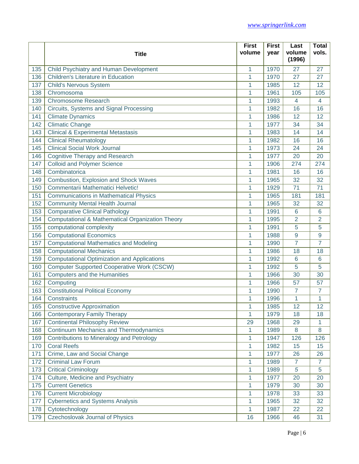|     |                                                    | <b>First</b> | <b>First</b> | Last             | <b>Total</b>   |
|-----|----------------------------------------------------|--------------|--------------|------------------|----------------|
|     | <b>Title</b>                                       | volume       | year         | volume<br>(1996) | vols.          |
| 135 | Child Psychiatry and Human Development             | 1            | 1970         | 27               | 27             |
| 136 | <b>Children's Literature in Education</b>          | 1            | 1970         | 27               | 27             |
| 137 | <b>Child's Nervous System</b>                      | 1            | 1985         | 12               | 12             |
| 138 | Chromosoma                                         | 1            | 1961         | 105              | 105            |
| 139 | <b>Chromosome Research</b>                         | 1            | 1993         | $\overline{4}$   | $\overline{4}$ |
| 140 | Circuits, Systems and Signal Processing            | 1            | 1982         | 16               | 16             |
| 141 | <b>Climate Dynamics</b>                            | 1            | 1986         | 12               | 12             |
| 142 | <b>Climatic Change</b>                             | 1            | 1977         | 34               | 34             |
| 143 | <b>Clinical &amp; Experimental Metastasis</b>      | 1            | 1983         | 14               | 14             |
| 144 | <b>Clinical Rheumatology</b>                       | 1            | 1982         | 16               | 16             |
| 145 | <b>Clinical Social Work Journal</b>                | 1            | 1973         | 24               | 24             |
| 146 | <b>Cognitive Therapy and Research</b>              | 1            | 1977         | 20               | 20             |
| 147 | <b>Colloid and Polymer Science</b>                 | 1            | 1906         | 274              | 274            |
| 148 | Combinatorica                                      | 1            | 1981         | 16               | 16             |
| 149 | Combustion, Explosion and Shock Waves              | 1            | 1965         | 32               | 32             |
| 150 | Commentarii Mathematici Helvetic!                  | 1            | 1929         | 71               | 71             |
| 151 | <b>Communications in Mathematical Physics</b>      | 1            | 1965         | 181              | 181            |
| 152 | <b>Community Mental Health Journal</b>             | 1            | 1965         | 32               | 32             |
| 153 | <b>Comparative Clinical Pathology</b>              | 1            | 1991         | 6                | 6              |
| 154 | Computational & Mathematical Organization Theory   | 1            | 1995         | $\overline{2}$   | $\overline{2}$ |
| 155 | computational complexity                           | 1            | 1991         | 5                | 5              |
| 156 | <b>Computational Economics</b>                     | 1            | 1988         | 9                | 9              |
| 157 | <b>Computational Mathematics and Modeling</b>      | 1            | 1990         | $\overline{7}$   | $\overline{7}$ |
| 158 | <b>Computational Mechanics</b>                     | 1            | 1986         | 18               | 18             |
| 159 | <b>Computational Optimization and Applications</b> | 1            | 1992         | 6                | 6              |
| 160 | <b>Computer Supported Cooperative Work (CSCW)</b>  | 1            | 1992         | 5                | 5              |
| 161 | <b>Computers and the Humanities</b>                | 1            | 1966         | 30               | 30             |
| 162 | Computing                                          | 1            | 1966         | 57               | 57             |
| 163 | <b>Constitutional Political Economy</b>            | 1            | 1990         | 7                | $\overline{7}$ |
| 164 | Constraints                                        | 1            | 1996         | 1                | 1              |
| 165 | <b>Constructive Approximation</b>                  | 1            | 1985         | 12               | 12             |
| 166 | <b>Contemporary Family Therapy</b>                 | 1            | 1979         | 18               | 18             |
| 167 | <b>Continental Philosophy Review</b>               | 29           | 1968         | 29               | 1              |
| 168 | Continuum Mechanics and Thermodynamics             | 1            | 1989         | 8                | 8              |
| 169 | Contributions to Mineralogy and Petrology          | 1            | 1947         | 126              | 126            |
| 170 | <b>Coral Reefs</b>                                 | 1            | 1982         | 15               | 15             |
| 171 | Crime, Law and Social Change                       | 1            | 1977         | 26               | 26             |
| 172 | <b>Criminal Law Forum</b>                          | 1            | 1989         | $\overline{7}$   | $\overline{7}$ |
| 173 | <b>Critical Criminology</b>                        | 1            | 1989         | $\overline{5}$   | 5              |
| 174 | Culture, Medicine and Psychiatry                   | 1            | 1977         | 20               | 20             |
| 175 | <b>Current Genetics</b>                            | 1            | 1979         | 30               | 30             |
| 176 | <b>Current Microbiology</b>                        | 1            | 1978         | 33               | 33             |
| 177 | <b>Cybernetics and Systems Analysis</b>            | 1            | 1965         | 32               | 32             |
| 178 | Cytotechnology                                     | 1            | 1987         | 22               | 22             |
| 179 | Czechoslovak Journal of Physics                    | 16           | 1966         | 46               | 31             |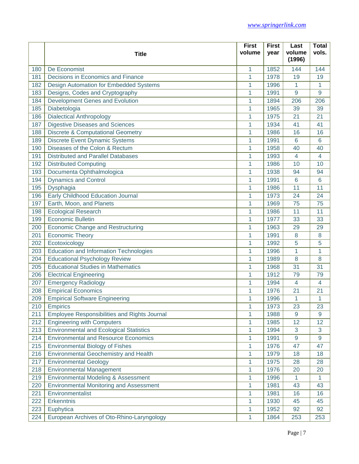|     |                                                     | <b>First</b>   | <b>First</b> | Last             | <b>Total</b>            |
|-----|-----------------------------------------------------|----------------|--------------|------------------|-------------------------|
|     | <b>Title</b>                                        | volume         | year         | volume<br>(1996) | vols.                   |
| 180 | De Economist                                        | 1              | 1852         | 144              | 144                     |
| 181 | Decisions in Economics and Finance                  | $\overline{1}$ | 1978         | 19               | 19                      |
| 182 | <b>Design Automation for Embedded Systems</b>       | 1              | 1996         | 1                | 1                       |
| 183 | Designs, Codes and Cryptography                     | $\mathbf{1}$   | 1991         | 9                | 9                       |
| 184 | Development Genes and Evolution                     | 1              | 1894         | 206              | 206                     |
| 185 | Diabetologia                                        | 1              | 1965         | 39               | 39                      |
| 186 | <b>Dialectical Anthropology</b>                     | 1              | 1975         | 21               | 21                      |
| 187 | <b>Digestive Diseases and Sciences</b>              | 1              | 1934         | 41               | 41                      |
| 188 | <b>Discrete &amp; Computational Geometry</b>        | 1              | 1986         | 16               | 16                      |
| 189 | <b>Discrete Event Dynamic Systems</b>               | 1              | 1991         | 6                | $6\phantom{1}6$         |
| 190 | Diseases of the Colon & Rectum                      | 1              | 1958         | 40               | 40                      |
| 191 | <b>Distributed and Parallel Databases</b>           | 1              | 1993         | 4                | $\overline{\mathbf{4}}$ |
| 192 | <b>Distributed Computing</b>                        | 1              | 1986         | 10               | 10                      |
| 193 | Documenta Ophthalmologica                           | 1              | 1938         | 94               | 94                      |
| 194 | <b>Dynamics and Control</b>                         | 1              | 1991         | 6                | 6                       |
| 195 | Dysphagia                                           | 1              | 1986         | 11               | 11                      |
| 196 | Early Childhood Education Journal                   | 1              | 1973         | 24               | 24                      |
| 197 | Earth, Moon, and Planets                            | 1              | 1969         | 75               | 75                      |
| 198 | <b>Ecological Research</b>                          | 1              | 1986         | 11               | 11                      |
| 199 | <b>Economic Bulletin</b>                            | 1              | 1977         | 33               | 33                      |
| 200 | Economic Change and Restructuring                   | 1              | 1963         | 29               | 29                      |
| 201 | <b>Economic Theory</b>                              | 1              | 1991         | 8                | 8                       |
| 202 | Ecotoxicology                                       | 1              | 1992         | 5                | 5                       |
| 203 | <b>Education and Information Technologies</b>       | 1              | 1996         | 1                | $\overline{1}$          |
| 204 | <b>Educational Psychology Review</b>                | 1              | 1989         | 8                | 8                       |
| 205 | <b>Educational Studies in Mathematics</b>           | 1              | 1968         | 31               | 31                      |
| 206 | <b>Electrical Engineering</b>                       | 1              | 1912         | 79               | 79                      |
| 207 | <b>Emergency Radiology</b>                          | 1              | 1994         | 4                | $\overline{4}$          |
| 208 | <b>Empirical Economics</b>                          | 1              | 1976         | 21               | 21                      |
| 209 | <b>Empirical Software Engineering</b>               | 1              | 1996         | 1                | 1                       |
| 210 | <b>Empirics</b>                                     | 1              | 1973         | 23               | 23                      |
| 211 | <b>Employee Responsibilities and Rights Journal</b> | 1              | 1988         | 9                | 9                       |
| 212 | <b>Engineering with Computers</b>                   | 1              | 1985         | 12               | 12                      |
| 213 | <b>Environmental and Ecological Statistics</b>      | $\mathbf{1}$   | 1994         | 3                | 3                       |
| 214 | <b>Environmental and Resource Economics</b>         | 1              | 1991         | 9                | 9                       |
| 215 | <b>Environmental Biology of Fishes</b>              | 1              | 1976         | 47               | 47                      |
| 216 | Environmental Geochemistry and Health               | 1              | 1979         | 18               | 18                      |
| 217 | <b>Environmental Geology</b>                        | 1              | 1975         | 28               | 28                      |
| 218 | <b>Environmental Management</b>                     | $\mathbf{1}$   | 1976         | 20               | 20                      |
| 219 | Environmental Modeling & Assessment                 | 1              | 1996         | 1                | $\mathbf{1}$            |
| 220 | <b>Environmental Monitoring and Assessment</b>      | 1              | 1981         | 43               | 43                      |
| 221 | Environmentalist                                    | 1              | 1981         | 16               | 16                      |
| 222 | Erkenntnis                                          | 1              | 1930         | 45               | 45                      |
| 223 | Euphytica                                           | 1              | 1952         | 92               | 92                      |
| 224 | European Archives of Oto-Rhino-Laryngology          | 1              | 1864         | 253              | 253                     |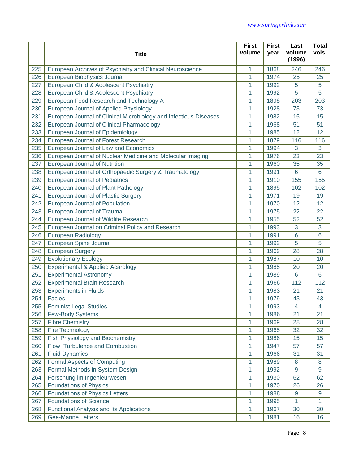|     |                                                                   | <b>First</b> | <b>First</b> | Last             | <b>Total</b>            |
|-----|-------------------------------------------------------------------|--------------|--------------|------------------|-------------------------|
|     | <b>Title</b>                                                      | volume       | year         | volume<br>(1996) | vols.                   |
| 225 | European Archives of Psychiatry and Clinical Neuroscience         | 1            | 1868         | 246              | 246                     |
| 226 | European Biophysics Journal                                       | 1            | 1974         | 25               | 25                      |
| 227 | European Child & Adolescent Psychiatry                            | 1            | 1992         | 5                | 5                       |
| 228 | European Child & Adolescent Psychiatry                            | 1            | 1992         | 5                | 5                       |
| 229 | European Food Research and Technology A                           | 1            | 1898         | 203              | 203                     |
| 230 | European Journal of Applied Physiology                            | 1            | 1928         | 73               | 73                      |
| 231 | European Journal of Clinical Microbiology and Infectious Diseases | 1            | 1982         | 15               | 15                      |
| 232 | European Journal of Clinical Pharmacology                         | 1            | 1968         | 51               | 51                      |
| 233 | European Journal of Epidemiology                                  | 1            | 1985         | 12               | 12                      |
| 234 | European Journal of Forest Research                               | 1            | 1879         | 116              | 116                     |
| 235 | European Journal of Law and Economics                             | 1            | 1994         | 3                | 3                       |
| 236 | European Journal of Nuclear Medicine and Molecular Imaging        | 1            | 1976         | 23               | 23                      |
| 237 | European Journal of Nutrition                                     | 1            | 1960         | 35               | 35                      |
| 238 | European Journal of Orthopaedic Surgery & Traumatology            | 1            | 1991         | 6                | 6                       |
| 239 | <b>European Journal of Pediatrics</b>                             | 1            | 1910         | 155              | 155                     |
| 240 | European Journal of Plant Pathology                               | 1            | 1895         | 102              | 102                     |
| 241 | <b>European Journal of Plastic Surgery</b>                        | 1            | 1971         | 19               | 19                      |
| 242 | European Journal of Population                                    | 1            | 1970         | 12               | 12                      |
| 243 | European Journal of Trauma                                        | 1            | 1975         | 22               | 22                      |
| 244 | European Journal of Wildlife Research                             | 1            | 1955         | 52               | 52                      |
| 245 | European Journal on Criminal Policy and Research                  | 1            | 1993         | 3                | 3                       |
| 246 | <b>European Radiology</b>                                         | 1            | 1991         | 6                | 6                       |
| 247 | European Spine Journal                                            | 1            | 1992         | 5                | 5                       |
| 248 | <b>European Surgery</b>                                           | 1            | 1969         | 28               | 28                      |
| 249 | <b>Evolutionary Ecology</b>                                       | 1            | 1987         | 10               | 10                      |
| 250 | Experimental & Applied Acarology                                  | 1            | 1985         | 20               | 20                      |
| 251 | <b>Experimental Astronomy</b>                                     | 1            | 1989         | 6                | 6                       |
| 252 | <b>Experimental Brain Research</b>                                | 1            | 1966         | 112              | 112                     |
| 253 | <b>Experiments in Fluids</b>                                      | 1            | 1983         | 21               | 21                      |
| 254 | <b>Facies</b>                                                     | 1            | 1979         | 43               | 43                      |
| 255 | <b>Feminist Legal Studies</b>                                     | 1            | 1993         | 4                | $\overline{\mathbf{4}}$ |
| 256 | <b>Few-Body Systems</b>                                           | 1            | 1986         | 21               | 21                      |
| 257 | <b>Fibre Chemistry</b>                                            | 1            | 1969         | 28               | 28                      |
| 258 | Fire Technology                                                   | 1            | 1965         | 32               | 32                      |
| 259 | Fish Physiology and Biochemistry                                  | 1            | 1986         | 15               | 15                      |
| 260 | Flow, Turbulence and Combustion                                   | 1            | 1947         | 57               | 57                      |
| 261 | <b>Fluid Dynamics</b>                                             | 1            | 1966         | 31               | 31                      |
| 262 | <b>Formal Aspects of Computing</b>                                | 1            | 1989         | 8                | 8                       |
| 263 | Formal Methods in System Design                                   | 1            | 1992         | 9                | $\overline{9}$          |
| 264 | Forschung im Ingenieurwesen                                       | 1            | 1930         | 62               | 62                      |
| 265 | <b>Foundations of Physics</b>                                     | 1            | 1970         | 26               | 26                      |
| 266 | <b>Foundations of Physics Letters</b>                             | 1            | 1988         | 9                | 9                       |
| 267 | <b>Foundations of Science</b>                                     | 1            | 1995         | 1.               | 1                       |
| 268 | <b>Functional Analysis and Its Applications</b>                   | 1            | 1967         | 30               | 30                      |
| 269 | <b>Gee-Marine Letters</b>                                         | 1            | 1981         | 16               | 16                      |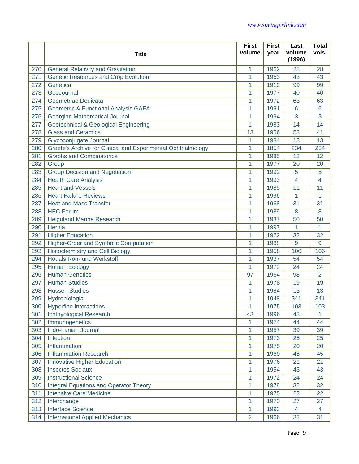|     |                                                              | <b>First</b>   | <b>First</b> | Last             | <b>Total</b>   |
|-----|--------------------------------------------------------------|----------------|--------------|------------------|----------------|
|     | <b>Title</b>                                                 | volume         | year         | volume<br>(1996) | vols.          |
| 270 | <b>General Relativity and Gravitation</b>                    | 1              | 1962         | 28               | 28             |
| 271 | <b>Genetic Resources and Crop Evolution</b>                  | 1              | 1953         | 43               | 43             |
| 272 | Genetica                                                     | 1              | 1919         | 99               | 99             |
| 273 | GeoJournal                                                   | 1              | 1977         | 40               | 40             |
| 274 | Geometriae Dedicata                                          | 1              | 1972         | 63               | 63             |
| 275 | <b>Geometric &amp; Functional Analysis GAFA</b>              | 1              | 1991         | 6                | 6              |
| 276 | Georgian Mathematical Journal                                | 1              | 1994         | 3                | 3              |
| 277 | Geotechnical & Geological Engineering                        | 1              | 1983         | 14               | 14             |
| 278 | <b>Glass and Ceramics</b>                                    | 13             | 1956         | 53               | 41             |
| 279 | Glycoconjugate Journal                                       | 1              | 1984         | 13               | 13             |
| 280 | Graefe's Archive for Clinical and Experimental Ophthalmology | 1              | 1854         | 234              | 234            |
| 281 | <b>Graphs and Combinatorics</b>                              | 1              | 1985         | 12               | 12             |
| 282 | Group                                                        | 1              | 1977         | 20               | 20             |
| 283 | <b>Group Decision and Negotiation</b>                        | 1              | 1992         | 5                | 5              |
| 284 | <b>Health Care Analysis</b>                                  | 1              | 1993         | $\overline{4}$   | $\overline{4}$ |
| 285 | <b>Heart and Vessels</b>                                     | 1              | 1985         | 11               | 11             |
| 286 | <b>Heart Failure Reviews</b>                                 | 1              | 1996         | 1                | $\mathbf{1}$   |
| 287 | <b>Heat and Mass Transfer</b>                                | 1              | 1968         | 31               | 31             |
| 288 | <b>HEC Forum</b>                                             | 1              | 1989         | 8                | 8              |
| 289 | <b>Helgoland Marine Research</b>                             | 1              | 1937         | 50               | 50             |
| 290 | Hernia                                                       | 1              | 1997         | 1                | 1              |
| 291 | <b>Higher Education</b>                                      | 1              | 1972         | 32               | 32             |
| 292 | Higher-Order and Symbolic Computation                        | 1              | 1988         | 9                | 9              |
| 293 | <b>Histochemistry and Cell Biology</b>                       | 1              | 1958         | 106              | 106            |
| 294 | Hot als Ron- und Werkstoff                                   | 1              | 1937         | 54               | 54             |
| 295 | <b>Human Ecology</b>                                         | 1              | 1972         | 24               | 24             |
| 296 | <b>Human Genetics</b>                                        | 97             | 1964         | 98               | $\overline{2}$ |
| 297 | <b>Human Studies</b>                                         | 1              | 1978         | 19               | 19             |
| 298 | <b>Husserl Studies</b>                                       | 1              | 1984         | 13               | 13             |
| 299 | Hydrobiologia                                                | 1              | 1948         | 341              | 341            |
| 300 | <b>Hyperfine Interactions</b>                                | 1              | 1975         | 103              | 103            |
| 301 | Ichthyological Research                                      | 43             | 1996         | 43               | 1              |
| 302 | Immunogenetics                                               | 1              | 1974         | 44               | 44             |
| 303 | Indo-Iranian Journal                                         | 1              | 1957         | 39               | 39             |
| 304 | Infection                                                    | 1              | 1973         | 25               | 25             |
| 305 | Inflammation                                                 | 1              | 1975         | 20               | 20             |
| 306 | <b>Inflammation Research</b>                                 | 1              | 1969         | 45               | 45             |
| 307 | <b>Innovative Higher Education</b>                           | 1              | 1976         | 21               | 21             |
| 308 | <b>Insectes Sociaux</b>                                      | 1              | 1954         | 43               | 43             |
| 309 | <b>Instructional Science</b>                                 | 1              | 1972         | 24               | 24             |
| 310 | <b>Integral Equations and Operator Theory</b>                | 1              | 1978         | 32               | 32             |
| 311 | <b>Intensive Care Medicine</b>                               | 1              | 1975         | 22               | 22             |
| 312 | Interchange                                                  | 1              | 1970         | 27               | 27             |
| 313 | <b>Interface Science</b>                                     | 1              | 1993         | $\overline{4}$   | $\overline{4}$ |
| 314 | <b>International Applied Mechanics</b>                       | $\overline{2}$ | 1966         | 32               | 31             |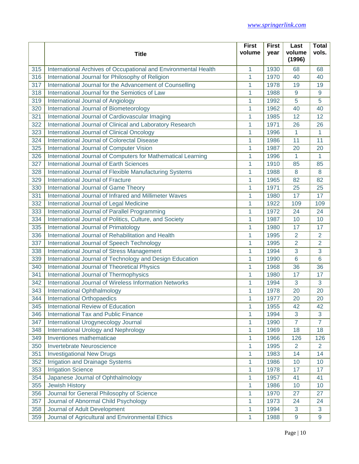|     |                                                                 | <b>First</b> | <b>First</b> | Last             | <b>Total</b>     |
|-----|-----------------------------------------------------------------|--------------|--------------|------------------|------------------|
|     | <b>Title</b>                                                    | volume       | year         | volume<br>(1996) | vols.            |
| 315 | International Archives of Occupational and Environmental Health | 1            | 1930         | 68               | 68               |
| 316 | International Journal for Philosophy of Religion                | 1            | 1970         | 40               | 40               |
| 317 | International Journal for the Advancement of Counselling        | 1            | 1978         | 19               | 19               |
| 318 | International Journal for the Semiotics of Law                  | 1            | 1988         | 9                | $\overline{9}$   |
| 319 | International Journal of Angiology                              | 1            | 1992         | 5                | 5                |
| 320 | International Journal of Biometeorology                         | 1            | 1962         | 40               | 40               |
| 321 | International Journal of Cardiovascular Imaging                 | 1            | 1985         | 12               | 12               |
| 322 | International Journal of Clinical and Laboratory Research       | 1            | 1971         | 26               | 26               |
| 323 | International Journal of Clinical Oncology                      | 1            | 1996         | 1                | 1                |
| 324 | International Journal of Colorectal Disease                     | 1            | 1986         | 11               | 11               |
| 325 | International Journal of Computer Vision                        | 1            | 1987         | 20               | 20               |
| 326 | International Journal of Computers for Mathematical Learning    | 1            | 1996         | 1                | 1                |
| 327 | International Journal of Earth Sciences                         | 1            | 1910         | 85               | 85               |
| 328 | International Journal of Flexible Manufacturing Systems         | 1            | 1988         | 8                | 8                |
| 329 | International Journal of Fracture                               | 1            | 1965         | 82               | 82               |
| 330 | International Journal of Game Theory                            | 1            | 1971         | 25               | 25               |
| 331 | International Journal of Infrared and Millimeter Waves          | 1            | 1980         | 17               | 17               |
| 332 | International Journal of Legal Medicine                         | 1            | 1922         | 109              | 109              |
| 333 | International Journal of Parallel Programming                   | 1            | 1972         | 24               | 24               |
| 334 | International Journal of Politics, Culture, and Society         | 1            | 1987         | 10               | 10               |
| 335 | International Journal of Primatology                            | 1            | 1980         | 17               | 17               |
| 336 | International Journal of Rehabilitation and Health              | 1            | 1995         | 2                | $\overline{2}$   |
| 337 | International Journal of Speech Technology                      | 1            | 1995         | $\overline{2}$   | $\overline{2}$   |
| 338 | International Journal of Stress Management                      | 1            | 1994         | 3                | 3                |
| 339 | International Journal of Technology and Design Education        | 1            | 1990         | 6                | 6                |
| 340 | International Journal of Theoretical Physics                    | 1            | 1968         | 36               | 36               |
| 341 | International Journal of Thermophysics                          | 1            | 1980         | 17               | 17               |
| 342 | International Journal of Wireless Information Networks          | 1            | 1994         | 3                | 3                |
| 343 | International Ophthalmology                                     | 1            | 1978         | 20               | 20               |
| 344 | <b>International Orthopaedics</b>                               | 1            | 1977         | 20               | 20               |
| 345 | <b>International Review of Education</b>                        | 1            | 1955         | 42               | 42               |
| 346 | <b>International Tax and Public Finance</b>                     | 1            | 1994         | 3                | 3                |
| 347 | International Urogynecology Journal                             | 1            | 1990         | $\overline{7}$   | $\overline{7}$   |
| 348 | International Urology and Nephrology                            | 1            | 1969         | 18               | 18               |
| 349 | Inventiones mathematicae                                        | 1            | 1966         | 126              | 126              |
| 350 | Invertebrate Neuroscience                                       | 1            | 1995         | $\overline{2}$   | $\overline{2}$   |
| 351 | <b>Investigational New Drugs</b>                                | 1            | 1983         | 14               | 14               |
| 352 | <b>Irrigation and Drainage Systems</b>                          | 1            | 1986         | 10               | 10               |
| 353 | <b>Irrigation Science</b>                                       | 1            | 1978         | 17               | 17               |
| 354 | Japanese Journal of Ophthalmology                               | 1            | 1957         | 41               | 41               |
| 355 | <b>Jewish History</b>                                           | 1            | 1986         | 10               | 10               |
| 356 | Journal for General Philosophy of Science                       | 1            | 1970         | 27               | 27               |
| 357 | Journal of Abnormal Child Psychology                            | 1            | 1973         | 24               | 24               |
| 358 | Journal of Adult Development                                    | 1            | 1994         | 3                | 3                |
| 359 | Journal of Agricultural and Environmental Ethics                | 1            | 1988         | 9                | $\boldsymbol{9}$ |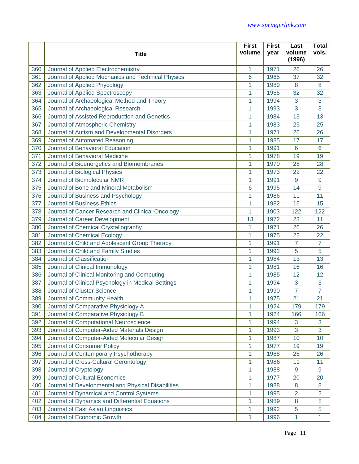|     |                                                    | <b>First</b>    | <b>First</b> | Last             | <b>Total</b>   |
|-----|----------------------------------------------------|-----------------|--------------|------------------|----------------|
|     | <b>Title</b>                                       | volume          | year         | volume<br>(1996) | vols.          |
| 360 | Journal of Applied Electrochemistry                | 1               | 1971         | 26               | 26             |
| 361 | Journal of Applied Mechanics and Technical Physics | $6\phantom{1}6$ | 1965         | 37               | 32             |
| 362 | Journal of Applied Phycology                       | 1               | 1989         | 8                | 8              |
| 363 | Journal of Applied Spectroscopy                    | 1               | 1965         | 32               | 32             |
| 364 | Journal of Archaeological Method and Theory        | 1               | 1994         | 3                | 3              |
| 365 | Journal of Archaeological Research                 | 1               | 1993         | 3                | 3              |
| 366 | Journal of Assisted Reproduction and Genetics      | 1               | 1984         | 13               | 13             |
| 367 | Journal of Atmospheric Chemistry                   | 1               | 1983         | 25               | 25             |
| 368 | Journal of Autism and Developmental Disorders      | 1               | 1971         | 26               | 26             |
| 369 | Journal of Automated Reasoning                     | 1               | 1985         | 17               | 17             |
| 370 | Journal of Behavioral Education                    | 1               | 1991         | 6                | 6              |
| 371 | Journal of Behavioral Medicine                     | 1               | 1978         | 19               | 19             |
| 372 | Journal of Bioenergetics and Biomembranes          | 1               | 1970         | 28               | 28             |
| 373 | Journal of Biological Physics                      | 1               | 1973         | 22               | 22             |
| 374 | Journal of Biomolecular NMR                        | 1               | 1991         | 9                | 9              |
| 375 | Journal of Bone and Mineral Metabolism             | 6               | 1995         | 14               | 9              |
| 376 | Journal of Business and Psychology                 | 1               | 1986         | 11               | 11             |
| 377 | <b>Journal of Business Ethics</b>                  | 1               | 1982         | 15               | 15             |
| 378 | Journal of Cancer Research and Clinical Oncology   | 1               | 1903         | 122              | 122            |
| 379 | Journal of Career Development                      | 13              | 1972         | 23               | 11             |
| 380 | Journal of Chemical Crystallography                | 1               | 1971         | 26               | 26             |
| 381 | Journal of Chemical Ecology                        | 1               | 1975         | 22               | 22             |
| 382 | Journal of Child and Adolescent Group Therapy      | 1               | 1991         | 7                | $\overline{7}$ |
| 383 | Journal of Child and Family Studies                | 1               | 1992         | 5                | 5              |
| 384 | Journal of Classification                          | 1               | 1984         | 13               | 13             |
| 385 | Journal of Clinical Immunology                     | 1               | 1981         | 16               | 16             |
| 386 | Journal of Clinical Monitoring and Computing       | 1               | 1985         | 12               | 12             |
| 387 | Journal of Clinical Psychology in Medical Settings | 1               | 1994         | 3                | 3              |
| 388 | Journal of Cluster Science                         | 1               | 1990         | $\overline{7}$   | $\overline{7}$ |
| 389 | Journal of Community Health                        | 1               | 1975         | 21               | 21             |
| 390 | Journal of Comparative Physiology A                | 1               | 1924         | 179              | 179            |
| 391 | Journal of Comparative Physiology B                | 1               | 1924         | 166              | 166            |
| 392 | Journal of Computational Neuroscience              | 1               | 1994         | 3                | 3              |
| 393 | Journal of Computer-Aided Materials Design         | 1               | 1993         | 3                | 3              |
| 394 | Journal of Computer-Aided Molecular Design         | 1               | 1987         | 10               | 10             |
| 395 | Journal of Consumer Policy                         | 1               | 1977         | 19               | 19             |
| 396 | Journal of Contemporary Psychotherapy              | 1               | 1968         | 26               | 26             |
| 397 | Journal of Cross-Cultural Gerontology              | 1               | 1986         | 11               | 11             |
| 398 | Journal of Cryptology                              | 1               | 1988         | 9                | 9              |
| 399 | Journal of Cultural Economics                      | 1               | 1977         | 20               | 20             |
| 400 | Journal of Developmental and Physical Disabilities | 1               | 1988         | 8                | 8              |
| 401 | Journal of Dynamical and Control Systems           | 1               | 1995         | $\overline{2}$   | 2              |
| 402 | Journal of Dynamics and Differential Equations     | 1               | 1989         | 8                | 8              |
| 403 | Journal of East Asian Linguistics                  | 1               | 1992         | 5                | 5              |
| 404 | Journal of Economic Growth                         | 1               | 1996         | 1                | 1              |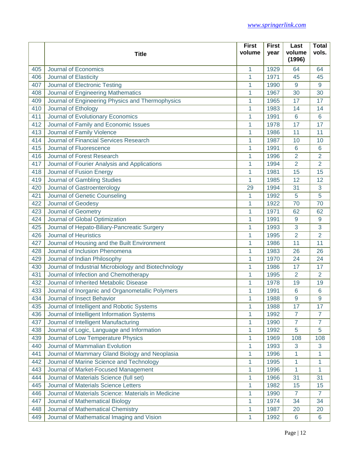|     |                                                      | <b>First</b> | <b>First</b> | Last             | <b>Total</b>     |
|-----|------------------------------------------------------|--------------|--------------|------------------|------------------|
|     | <b>Title</b>                                         | volume       | year         | volume<br>(1996) | vols.            |
| 405 | Journal of Economics                                 | 1            | 1929         | 64               | 64               |
| 406 | Journal of Elasticity                                | 1            | 1971         | 45               | 45               |
| 407 | Journal of Electronic Testing                        | 1            | 1990         | 9                | 9                |
| 408 | Journal of Engineering Mathematics                   | 1            | 1967         | 30               | 30               |
| 409 | Journal of Engineering Physics and Thermophysics     | 1            | 1965         | 17               | 17               |
| 410 | Journal of Ethology                                  | 1            | 1983         | 14               | 14               |
| 411 | Journal of Evolutionary Economics                    | 1            | 1991         | 6                | $6\phantom{1}6$  |
| 412 | Journal of Family and Economic Issues                | 1            | 1978         | 17               | 17               |
| 413 | Journal of Family Violence                           | 1            | 1986         | 11               | 11               |
| 414 | Journal of Financial Services Research               | 1            | 1987         | 10               | 10               |
| 415 | Journal of Fluorescence                              | 1            | 1991         | 6                | 6                |
| 416 | Journal of Forest Research                           | 1            | 1996         | $\overline{2}$   | $\overline{2}$   |
| 417 | Journal of Fourier Analysis and Applications         | 1            | 1994         | $\overline{2}$   | $\overline{2}$   |
| 418 | Journal of Fusion Energy                             | 1            | 1981         | 15               | 15               |
| 419 | Journal of Gambling Studies                          | 1            | 1985         | 12               | 12               |
| 420 | Journal of Gastroenterology                          | 29           | 1994         | 31               | 3                |
| 421 | Journal of Genetic Counseling                        | 1            | 1992         | 5                | 5                |
| 422 | Journal of Geodesy                                   | 1            | 1922         | 70               | 70               |
| 423 | Journal of Geometry                                  | 1            | 1971         | 62               | 62               |
| 424 | Journal of Global Optimization                       | 1            | 1991         | 9                | $\boldsymbol{9}$ |
| 425 | Journal of Hepato-Biliary-Pancreatic Surgery         | 1            | 1993         | 3                | 3                |
| 426 | <b>Journal of Heuristics</b>                         | 1            | 1995         | $\overline{2}$   | $\overline{2}$   |
| 427 | Journal of Housing and the Built Environment         | 1            | 1986         | 11               | 11               |
| 428 | Journal of Inclusion Phenomena                       | 1            | 1983         | 26               | 26               |
| 429 | Journal of Indian Philosophy                         | 1            | 1970         | 24               | 24               |
| 430 | Journal of Industrial Microbiology and Biotechnology | $\mathbf{1}$ | 1986         | 17               | 17               |
| 431 | Journal of Infection and Chemotherapy                | 1            | 1995         | $\overline{2}$   | $\overline{2}$   |
| 432 | Journal of Inherited Metabolic Disease               | 1            | 1978         | 19               | 19               |
| 433 | Journal of Inorganic and Organometallic Polymers     | 1            | 1991         | 6                | 6                |
| 434 | Journal of Insect Behavior                           | 1            | 1988         | 9                | 9                |
| 435 | Journal of Intelligent and Robotic Systems           | 1            | 1988         | 17               | 17               |
| 436 | Journal of Intelligent Information Systems           | 1            | 1992         | $\overline{7}$   | $\overline{7}$   |
| 437 | Journal of Intelligent Manufacturing                 | 1            | 1990         | $\overline{7}$   | $\overline{7}$   |
| 438 | Journal of Logic, Language and Information           | 1            | 1992         | 5                | 5                |
| 439 | Journal of Low Temperature Physics                   | 1            | 1969         | 108              | 108              |
| 440 | Journal of Mammalian Evolution                       | 1            | 1993         | 3                | 3                |
| 441 | Journal of Mammary Gland Biology and Neoplasia       | 1            | 1996         | 1                | 1                |
| 442 | Journal of Marine Science and Technology             | 1            | 1995         | 1                | 1                |
| 443 | Journal of Market-Focused Management                 | 1            | 1996         | 1                | 1                |
| 444 | Journal of Materials Science (full set)              | 1            | 1966         | 31               | 31               |
| 445 | Journal of Materials Science Letters                 | 1            | 1982         | 15               | 15               |
| 446 | Journal of Materials Science: Materials in Medicine  | 1            | 1990         | $\overline{7}$   | $\overline{7}$   |
| 447 | Journal of Mathematical Biology                      | 1            | 1974         | 34               | 34               |
| 448 | Journal of Mathematical Chemistry                    | 1            | 1987         | 20               | 20               |
| 449 | Journal of Mathematical Imaging and Vision           | 1            | 1992         | 6                | 6                |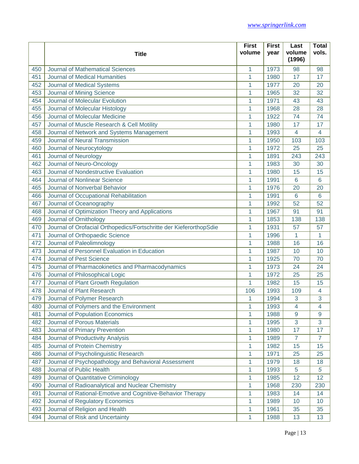|     |                                                                    | <b>First</b> | <b>First</b> | Last             | <b>Total</b>    |
|-----|--------------------------------------------------------------------|--------------|--------------|------------------|-----------------|
|     | <b>Title</b>                                                       | volume       | year         | volume<br>(1996) | vols.           |
| 450 | <b>Journal of Mathematical Sciences</b>                            | 1            | 1973         | 98               | 98              |
| 451 | Journal of Medical Humanities                                      | 1            | 1980         | 17               | 17              |
| 452 | Journal of Medical Systems                                         | 1            | 1977         | 20               | 20              |
| 453 | Journal of Mining Science                                          | 1            | 1965         | 32               | 32              |
| 454 | Journal of Molecular Evolution                                     | 1            | 1971         | 43               | 43              |
| 455 | Journal of Molecular Histology                                     | 1            | 1968         | 28               | 28              |
| 456 | Journal of Molecular Medicine                                      | 1            | 1922         | 74               | 74              |
| 457 | Journal of Muscle Research & Cell Motility                         | 1            | 1980         | 17               | 17              |
| 458 | Journal of Network and Systems Management                          | 1            | 1993         | $\overline{4}$   | $\overline{4}$  |
| 459 | Journal of Neural Transmission                                     | 1            | 1950         | 103              | 103             |
| 460 | Journal of Neurocytology                                           | 1            | 1972         | 25               | 25              |
| 461 | Journal of Neurology                                               | 1            | 1891         | 243              | 243             |
| 462 | Journal of Neuro-Oncology                                          | 1            | 1983         | 30               | 30              |
| 463 | Journal of Nondestructive Evaluation                               | 1            | 1980         | 15               | 15              |
| 464 | Journal of Nonlinear Science                                       | 1            | 1991         | 6                | 6               |
| 465 | Journal of Nonverbal Behavior                                      | 1            | 1976         | 20               | 20              |
| 466 | Journal of Occupational Rehabilitation                             | 1            | 1991         | 6                | 6               |
| 467 | Journal of Oceanography                                            | 1            | 1992         | 52               | 52              |
| 468 | Journal of Optimization Theory and Applications                    | 1            | 1967         | 91               | 91              |
| 469 | Journal of Ornithology                                             | 1            | 1853         | 138              | 138             |
| 470 | Journal of Orofacial Orthopedics/Fortschritte der KieferorthopSdie | 1            | 1931         | 57               | 57              |
| 471 | Journal of Orthopaedic Science                                     | 1            | 1996         | 1                | $\mathbf{1}$    |
| 472 | Journal of Paleolimnology                                          | 1            | 1988         | 16               | 16              |
| 473 | Journal of Personnel Evaluation in Education                       | 1            | 1987         | 10               | 10              |
| 474 | <b>Journal of Pest Science</b>                                     | 1            | 1925         | 70               | 70              |
| 475 | Journal of Pharmacokinetics and Pharmacodynamics                   | 1            | 1973         | 24               | 24              |
| 476 | Journal of Philosophical Logic                                     | 1            | 1972         | 25               | 25              |
| 477 | Journal of Plant Growth Regulation                                 | 1            | 1982         | 15               | 15              |
| 478 | Journal of Plant Research                                          | 106          | 1993         | 109              | $\overline{4}$  |
| 479 | Journal of Polymer Research                                        | 1            | 1994         | 3                | 3               |
| 480 | Journal of Polymers and the Environment                            | 1            | 1993         | 4                | 4               |
| 481 | Journal of Population Economics                                    | 1            | 1988         | 9                | 9               |
| 482 | Journal of Porous Materials                                        | 1            | 1995         | 3                | 3               |
| 483 | Journal of Primary Prevention                                      | 1            | 1980         | 17               | 17              |
| 484 | Journal of Productivity Analysis                                   | 1            | 1989         | $\overline{7}$   | $\overline{7}$  |
| 485 | Journal of Protein Chemistry                                       | 1            | 1982         | 15               | 15              |
| 486 | Journal of Psycholinguistic Research                               | 1            | 1971         | 25               | 25              |
| 487 | Journal of Psychopathology and Behavioral Assessment               | 1            | 1979         | 18               | 18              |
| 488 | Journal of Public Health                                           | 1            | 1993         | 5                | $\sqrt{5}$      |
| 489 | Journal of Quantitative Criminology                                | 1            | 1985         | 12               | 12              |
| 490 | Journal of Radioanalytical and Nuclear Chemistry                   | 1            | 1968         | 230              | 230             |
| 491 | Journal of Rational-Emotive and Cognitive-Behavior Therapy         | 1            | 1983         | 14               | 14              |
| 492 | Journal of Regulatory Economics                                    | 1            | 1989         | 10               | 10 <sup>1</sup> |
| 493 | Journal of Religion and Health                                     | 1            | 1961         | 35               | 35              |
| 494 | Journal of Risk and Uncertainty                                    | 1            | 1988         | 13               | 13              |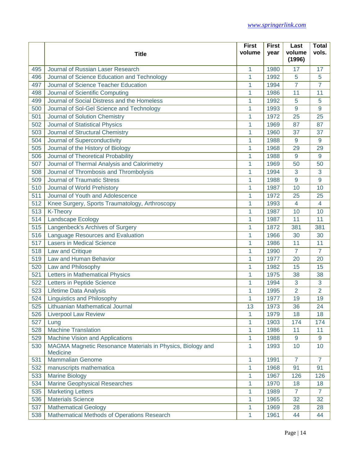|     |                                                            | <b>First</b> | <b>First</b> | Last           | <b>Total</b>   |
|-----|------------------------------------------------------------|--------------|--------------|----------------|----------------|
|     | <b>Title</b>                                               | volume       | vear         | volume         | vols.          |
|     |                                                            |              |              | (1996)         |                |
| 495 | Journal of Russian Laser Research                          | 1            | 1980         | 17             | 17             |
| 496 | Journal of Science Education and Technology                | 1            | 1992         | 5              | 5              |
| 497 | Journal of Science Teacher Education                       | 1            | 1994         | $\overline{7}$ | $\overline{7}$ |
| 498 | Journal of Scientific Computing                            | 1            | 1986         | 11             | 11             |
| 499 | Journal of Social Distress and the Homeless                | 1            | 1992         | 5              | 5              |
| 500 | Journal of Sol-Gel Science and Technology                  | 1            | 1993         | 9              | 9              |
| 501 | Journal of Solution Chemistry                              | 1            | 1972         | 25             | 25             |
| 502 | Journal of Statistical Physics                             | 1            | 1969         | 87             | 87             |
| 503 | Journal of Structural Chemistry                            | 1            | 1960         | 37             | 37             |
| 504 | Journal of Superconductivity                               | 1            | 1988         | 9              | 9              |
| 505 | Journal of the History of Biology                          | 1            | 1968         | 29             | 29             |
| 506 | Journal of Theoretical Probability                         | 1            | 1988         | 9              | 9              |
| 507 | Journal of Thermal Analysis and Calorimetry                | 1            | 1969         | 50             | 50             |
| 508 | Journal of Thrombosis and Thrombolysis                     | 1            | 1994         | 3              | 3              |
| 509 | <b>Journal of Traumatic Stress</b>                         | 1            | 1988         | 9              | 9              |
| 510 | Journal of World Prehistory                                | 1            | 1987         | 10             | 10             |
| 511 | Journal of Youth and Adolescence                           | 1            | 1972         | 25             | 25             |
| 512 | Knee Surgery, Sports Traumatology, Arthroscopy             | 1            | 1993         | $\overline{4}$ | $\overline{4}$ |
| 513 | K-Theory                                                   | 1            | 1987         | 10             | 10             |
| 514 | Landscape Ecology                                          | 1            | 1987         | 11             | 11             |
| 515 | Langenbeck's Archives of Surgery                           | 1            | 1872         | 381            | 381            |
| 516 | Language Resources and Evaluation                          | 1            | 1966         | 30             | 30             |
| 517 | <b>Lasers in Medical Science</b>                           | 1            | 1986         | 11             | 11             |
| 518 | Law and Critique                                           | 1            | 1990         | $\overline{7}$ | $\overline{7}$ |
| 519 | Law and Human Behavior                                     | 1            | 1977         | 20             | 20             |
| 520 | Law and Philosophy                                         | 1            | 1982         | 15             | 15             |
| 521 | Letters in Mathematical Physics                            | 1            | 1975         | 38             | 38             |
| 522 | Letters in Peptide Science                                 | 1            | 1994         | 3              | 3              |
| 523 | Lifetime Data Analysis                                     | 1            | 1995         | $\overline{2}$ | $\overline{2}$ |
| 524 | <b>Linguistics and Philosophy</b>                          | 1            | 1977         | 19             | 19             |
| 525 | Lithuanian Mathematical Journal                            | 13           | 1973         | 36             | 24             |
| 526 | <b>Liverpool Law Review</b>                                | 1            | 1979         | 18             | 18             |
| 527 | Lung                                                       | 1            | 1903         | 174            | 174            |
| 528 | <b>Machine Translation</b>                                 | 1            | 1986         | 11             | 11             |
| 529 | Machine Vision and Applications                            | 1            | 1988         | 9              | 9              |
| 530 | MAGMA Magnetic Resonance Materials in Physics, Biology and | 1            | 1993         | 10             | 10             |
|     | Medicine                                                   |              |              |                |                |
| 531 | <b>Mammalian Genome</b>                                    | 1            | 1991         | $\overline{7}$ | $\overline{7}$ |
| 532 | manuscripts mathematica                                    | 1            | 1968         | 91             | 91             |
| 533 | <b>Marine Biology</b>                                      | 1            | 1967         | 126            | 126            |
| 534 | <b>Marine Geophysical Researches</b>                       | 1            | 1970         | 18             | 18             |
| 535 | <b>Marketing Letters</b>                                   | 1            | 1989         | $\overline{7}$ | $\overline{7}$ |
| 536 | <b>Materials Science</b>                                   | 1            | 1965         | 32             | 32             |
| 537 | <b>Mathematical Geology</b>                                | 1            | 1969         | 28             | 28             |
| 538 | Mathematical Methods of Operations Research                | 1            | 1961         | 44             | 44             |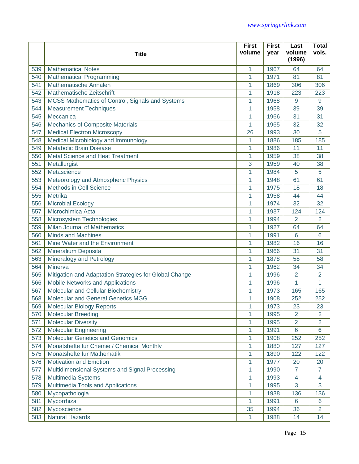|     |                                                        | <b>First</b> | <b>First</b> | Last             | <b>Total</b>   |
|-----|--------------------------------------------------------|--------------|--------------|------------------|----------------|
|     | <b>Title</b>                                           | volume       | year         | volume<br>(1996) | vols.          |
| 539 | <b>Mathematical Notes</b>                              | 1            | 1967         | 64               | 64             |
| 540 | <b>Mathematical Programming</b>                        | 1            | 1971         | 81               | 81             |
| 541 | Mathematische Annalen                                  | 1            | 1869         | 306              | 306            |
| 542 | Mathematische Zeitschrift                              | 1            | 1918         | 223              | 223            |
| 543 | MCSS Mathematics of Control, Signals and Systems       | 1            | 1968         | 9                | 9              |
| 544 | <b>Measurement Techniques</b>                          | 1            | 1958         | 39               | 39             |
| 545 | Meccanica                                              | 1            | 1966         | 31               | 31             |
| 546 | <b>Mechanics of Composite Materials</b>                | 1            | 1965         | 32               | 32             |
| 547 | <b>Medical Electron Microscopy</b>                     | 26           | 1993         | 30               | 5              |
| 548 | Medical Microbiology and Immunology                    | 1            | 1886         | 185              | 185            |
| 549 | Metabolic Brain Disease                                | 1            | 1986         | 11               | 11             |
| 550 | Metal Science and Heat Treatment                       | 1            | 1959         | 38               | 38             |
| 551 | Metallurgist                                           | 3            | 1959         | 40               | 38             |
| 552 | Metascience                                            | 1            | 1984         | 5                | 5              |
| 553 | Meteorology and Atmospheric Physics                    | 1            | 1948         | 61               | 61             |
| 554 | <b>Methods in Cell Science</b>                         | 1            | 1975         | 18               | 18             |
| 555 | Metrika                                                | 1            | 1958         | 44               | 44             |
| 556 | <b>Microbial Ecology</b>                               | 1            | 1974         | 32               | 32             |
| 557 | Microchimica Acta                                      | 1            | 1937         | 124              | 124            |
| 558 | Microsystem Technologies                               | 1            | 1994         | $\overline{2}$   | $\overline{2}$ |
| 559 | <b>Milan Journal of Mathematics</b>                    | 1            | 1927         | 64               | 64             |
| 560 | <b>Minds and Machines</b>                              | 1            | 1991         | 6                | 6              |
| 561 | Mine Water and the Environment                         | 1            | 1982         | 16               | 16             |
| 562 | Mineralium Deposita                                    | 1            | 1966         | 31               | 31             |
| 563 | Mineralogy and Petrology                               | 1            | 1878         | 58               | 58             |
| 564 | Minerva                                                | 1            | 1962         | 34               | 34             |
| 565 | Mitigation and Adaptation Strategies for Global Change | 1            | 1996         | 2                | $\overline{2}$ |
| 566 | Mobile Networks and Applications                       | 1            | 1996         | 1                | 1              |
| 567 | Molecular and Cellular Biochemistry                    | 1            | 1973         | 165              | 165            |
| 568 | <b>Molecular and General Genetics MGG</b>              | 1            | 1908         | 252              | 252            |
| 569 | <b>Molecular Biology Reports</b>                       | 1            | 1973         | 23               | 23             |
| 570 | <b>Molecular Breeding</b>                              | 1            | 1995         | $\overline{2}$   | $\overline{2}$ |
| 571 | <b>Molecular Diversity</b>                             | 1            | 1995         | $\overline{2}$   | $\overline{2}$ |
| 572 | <b>Molecular Engineering</b>                           | 1            | 1991         | 6                | $6\phantom{a}$ |
| 573 | <b>Molecular Genetics and Genomics</b>                 | 1            | 1908         | 252              | 252            |
| 574 | Monatshefte fur Chemie / Chemical Monthly              | 1            | 1880         | 127              | 127            |
| 575 | Monatshefte fur Mathematik                             | 1            | 1890         | 122              | 122            |
| 576 | <b>Motivation and Emotion</b>                          | 1            | 1977         | 20               | 20             |
| 577 | Multidimensional Systems and Signal Processing         | 1            | 1990         | 7                | 7              |
| 578 | Multimedia Systems                                     | 1            | 1993         | $\overline{4}$   | 4              |
| 579 | Multimedia Tools and Applications                      | 1            | 1995         | 3                | 3              |
| 580 | Mycopathologia                                         | 1            | 1938         | 136              | 136            |
| 581 | Mycorrhiza                                             | 1            | 1991         | 6                | 6              |
| 582 | Mycoscience                                            | 35           | 1994         | 36               | $\overline{2}$ |
| 583 | <b>Natural Hazards</b>                                 | 1            | 1988         | 14               | 14             |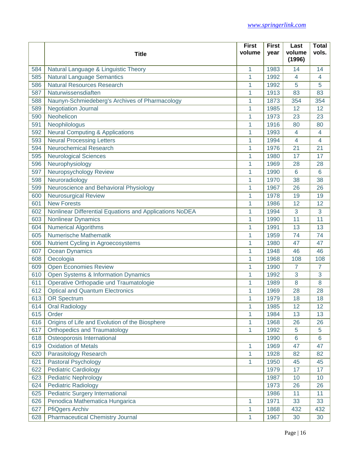|     |                                                         | <b>First</b> | <b>First</b> | Last             | <b>Total</b>   |
|-----|---------------------------------------------------------|--------------|--------------|------------------|----------------|
|     | <b>Title</b>                                            | volume       | year         | volume<br>(1996) | vols.          |
| 584 | Natural Language & Linguistic Theory                    | 1            | 1983         | 14               | 14             |
| 585 | <b>Natural Language Semantics</b>                       | 1            | 1992         | 4                | 4              |
| 586 | <b>Natural Resources Research</b>                       | 1            | 1992         | 5                | 5              |
| 587 | Naturwissensdiaften                                     | 1            | 1913         | 83               | 83             |
| 588 | Naunyn-Schmiedeberg's Archives of Pharmacology          | 1            | 1873         | 354              | 354            |
| 589 | <b>Negotiation Journal</b>                              | 1            | 1985         | 12               | 12             |
| 590 | Neohelicon                                              | 1            | 1973         | 23               | 23             |
| 591 | Neophilologus                                           | 1            | 1916         | 80               | 80             |
| 592 | <b>Neural Computing &amp; Applications</b>              | 1            | 1993         | 4                | 4              |
| 593 | <b>Neural Processing Letters</b>                        | 1            | 1994         | 4                | 4              |
| 594 | <b>Neurochemical Research</b>                           | 1            | 1976         | 21               | 21             |
| 595 | <b>Neurological Sciences</b>                            | 1            | 1980         | 17               | 17             |
| 596 | Neurophysiology                                         | 1            | 1969         | 28               | 28             |
| 597 | Neuropsychology Review                                  | 1            | 1990         | 6                | 6              |
| 598 | Neuroradiology                                          | 1            | 1970         | 38               | 38             |
| 599 | Neuroscience and Behavioral Physiology                  | 1            | 1967         | 26               | 26             |
| 600 | <b>Neurosurgical Review</b>                             | 1            | 1978         | 19               | 19             |
| 601 | <b>New Forests</b>                                      | 1            | 1986         | 12               | 12             |
| 602 | Nonlinear Differential Equations and Applications NoDEA | 1            | 1994         | 3                | 3              |
| 603 | Nonlinear Dynamics                                      | 1            | 1990         | 11               | 11             |
| 604 | <b>Numerical Algorithms</b>                             | 1            | 1991         | 13               | 13             |
| 605 | Numerische Mathematik                                   | 1            | 1959         | 74               | 74             |
| 606 | Nutrient Cycling in Agroecosystems                      | 1            | 1980         | 47               | 47             |
| 607 | <b>Ocean Dynamics</b>                                   | 1            | 1948         | 46               | 46             |
| 608 | Oecologia                                               | 1            | 1968         | 108              | 108            |
| 609 | <b>Open Economies Review</b>                            | 1            | 1990         | 7                | 7              |
| 610 | Open Systems & Information Dynamics                     | 1            | 1992         | 3                | 3              |
| 611 | Operative Orthopadie und Traumatologie                  | 1            | 1989         | 8                | 8              |
| 612 | <b>Optical and Quantum Electronics</b>                  | 1            | 1969         | 28               | 28             |
| 613 | <b>OR Spectrum</b>                                      | 1            | 1979         | 18               | 18             |
| 614 | <b>Oral Radiology</b>                                   | 1            | 1985         | 12               | 12             |
| 615 | Order                                                   | 1            | 1984         | 13               | 13             |
| 616 | Origins of Life and Evolution of the Biosphere          | 1            | 1968         | 26               | 26             |
| 617 | Orthopedics and Traumatology                            | 1            | 1992         | 5                | 5              |
| 618 | Osteoporosis International                              |              | 1990         | 6                | $6\phantom{1}$ |
| 619 | <b>Oxidation of Metals</b>                              | 1            | 1969         | 47               | 47             |
| 620 | Parasitology Research                                   | 1            | 1928         | 82               | 82             |
| 621 | Pastoral Psychology                                     | 1            | 1950         | 45               | 45             |
| 622 | <b>Pediatric Cardiology</b>                             |              | 1979         | 17               | 17             |
| 623 | <b>Pediatric Nephrology</b>                             |              | 1987         | 10               | 10             |
| 624 | <b>Pediatric Radiology</b>                              |              | 1973         | 26               | 26             |
| 625 | <b>Pediatric Surgery International</b>                  |              | 1986         | 11               | 11             |
| 626 | Penodica Mathematica Hungarica                          | 1            | 1971         | 33               | 33             |
| 627 | <b>PfiQgers Archiv</b>                                  | 1            | 1868         | 432              | 432            |
| 628 | <b>Pharmaceutical Chemistry Journal</b>                 | 1            | 1967         | 30               | 30             |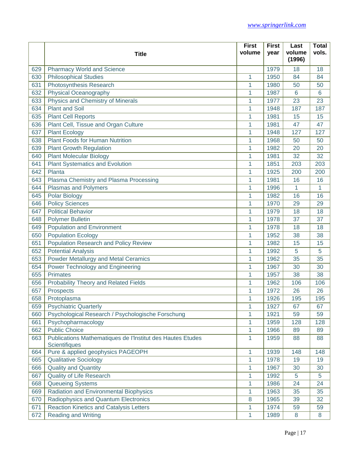|     |                                                                             | <b>First</b> | <b>First</b> | Last             | <b>Total</b> |
|-----|-----------------------------------------------------------------------------|--------------|--------------|------------------|--------------|
|     | <b>Title</b>                                                                | volume       | year         | volume<br>(1996) | vols.        |
| 629 | <b>Pharmacy World and Science</b>                                           |              | 1979         | 18               | 18           |
| 630 | <b>Philosophical Studies</b>                                                | 1            | 1950         | 84               | 84           |
| 631 | Photosynthesis Research                                                     | 1            | 1980         | 50               | 50           |
| 632 | <b>Physical Oceanography</b>                                                | 1            | 1987         | 6                | 6            |
| 633 | Physics and Chemistry of Minerals                                           | 1            | 1977         | 23               | 23           |
| 634 | <b>Plant and Soil</b>                                                       | 1            | 1948         | 187              | 187          |
| 635 | <b>Plant Cell Reports</b>                                                   | 1            | 1981         | 15               | 15           |
| 636 | Plant Cell, Tissue and Organ Culture                                        | 1            | 1981         | 47               | 47           |
| 637 | <b>Plant Ecology</b>                                                        | 1            | 1948         | 127              | 127          |
| 638 | Plant Foods for Human Nutrition                                             | 1            | 1968         | 50               | 50           |
| 639 | <b>Plant Growth Regulation</b>                                              | 1            | 1982         | 20               | 20           |
| 640 | <b>Plant Molecular Biology</b>                                              | 1            | 1981         | 32               | 32           |
| 641 | <b>Plant Systematics and Evolution</b>                                      | 1            | 1851         | 203              | 203          |
| 642 | Planta                                                                      | 1            | 1925         | 200              | 200          |
| 643 | Plasma Chemistry and Plasma Processing                                      | 1            | 1981         | 16               | 16           |
| 644 | Plasmas and Polymers                                                        | 1            | 1996         | 1                | 1            |
| 645 | Polar Biology                                                               | 1            | 1982         | 16               | 16           |
| 646 | <b>Policy Sciences</b>                                                      | 1            | 1970         | 29               | 29           |
| 647 | <b>Political Behavior</b>                                                   | 1            | 1979         | 18               | 18           |
| 648 | <b>Polymer Bulletin</b>                                                     | 1            | 1978         | 37               | 37           |
| 649 | <b>Population and Environment</b>                                           | 1            | 1978         | 18               | 18           |
| 650 | <b>Population Ecology</b>                                                   | 1            | 1952         | 38               | 38           |
| 651 | Population Research and Policy Review                                       | 1            | 1982         | 15               | 15           |
| 652 | <b>Potential Analysis</b>                                                   | 1            | 1992         | 5                | 5            |
| 653 | Powder Metallurgy and Metal Ceramics                                        | 1            | 1962         | 35               | 35           |
| 654 | Power Technology and Engineering                                            | 1            | 1967         | 30               | 30           |
| 655 | <b>Primates</b>                                                             | 1            | 1957         | 38               | 38           |
| 656 | Probability Theory and Related Fields                                       | 1            | 1962         | 106              | 106          |
| 657 | Prospects                                                                   | 1            | 1972         | 26               | 26           |
| 658 | Protoplasma                                                                 | 1            | 1926         | 195              | 195          |
| 659 | <b>Psychiatric Quarterly</b>                                                | 1            | 1927         | 67               | 67           |
| 660 | Psychological Research / Psychologische Forschung                           | 1            | 1921         | 59               | 59           |
| 661 | Psychopharmacology                                                          | 1            | 1959         | 128              | 128          |
| 662 | <b>Public Choice</b>                                                        | 1            | 1966         | 89               | 89           |
| 663 | Publications Mathematiques de l'Institut des Hautes Etudes<br>Scientifiques | 1            | 1959         | 88               | 88           |
| 664 | Pure & applied geophysics PAGEOPH                                           | 1            | 1939         | 148              | 148          |
| 665 | <b>Qualitative Sociology</b>                                                | 1            | 1978         | 19               | 19           |
| 666 | <b>Quality and Quantity</b>                                                 | 1            | 1967         | 30               | 30           |
| 667 | <b>Quality of Life Research</b>                                             | 1            | 1992         | 5                | 5            |
| 668 | <b>Queueing Systems</b>                                                     | 1            | 1986         | 24               | 24           |
| 669 | Radiation and Environmental Biophysics                                      | 1            | 1963         | 35               | 35           |
| 670 | Radiophysics and Quantum Electronics                                        | 8            | 1965         | 39               | 32           |
| 671 | <b>Reaction Kinetics and Catalysis Letters</b>                              | 1            | 1974         | 59               | 59           |
| 672 | <b>Reading and Writing</b>                                                  | 1            | 1989         | 8                | 8            |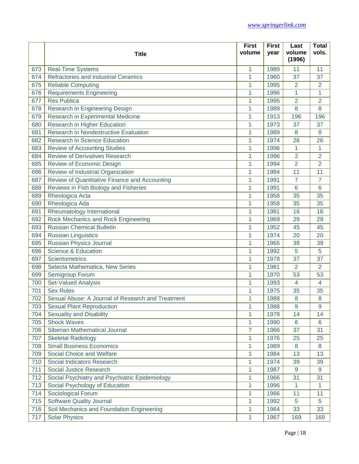|     |                                                   | <b>First</b>   | <b>First</b> | Last             | <b>Total</b>   |
|-----|---------------------------------------------------|----------------|--------------|------------------|----------------|
|     | <b>Title</b>                                      | volume         | year         | volume<br>(1996) | vols.          |
| 673 | <b>Real-Time Systems</b>                          | 1              | 1989         | 11               | 11             |
| 674 | Refractories and Industrial Ceramics              | 1              | 1960         | 37               | 37             |
| 675 | <b>Reliable Computing</b>                         | 1              | 1995         | 2                | 2              |
| 676 | <b>Requirements Engineering</b>                   | 1              | 1996         | 1                | 1              |
| 677 | <b>Res Publica</b>                                | 1              | 1995         | $\overline{2}$   | $\overline{2}$ |
| 678 | Research in Engineering Design                    | 1              | 1989         | 8                | 8              |
| 679 | Research in Experimental Medicine                 | 1              | 1913         | 196              | 196            |
| 680 | Research in Higher Education                      | 1              | 1973         | 37               | 37             |
| 681 | Research in Nondestructive Evaluation             | 1              | 1989         | 8                | 8              |
| 682 | <b>Research in Science Education</b>              | 1              | 1974         | 26               | 26             |
| 683 | <b>Review of Accounting Studies</b>               | 1              | 1996         | 1                | 1              |
| 684 | <b>Review of Derivatives Research</b>             | 1              | 1996         | $\overline{2}$   | $\overline{2}$ |
| 685 | Review of Economic Design                         | 1              | 1994         | $\overline{2}$   | $\overline{2}$ |
| 686 | Review of Industrial Organization                 | 1              | 1984         | 11               | 11             |
| 687 | Review of Quantitative Finance and Accounting     | 1              | 1991         | 7                | 7              |
| 688 | Reviews in Fish Biology and Fisheries             | 1              | 1991         | 6                | 6              |
| 689 | Rheologica Acta                                   | 1              | 1958         | 35               | 35             |
| 690 | Rheologica Ada                                    | 1              | 1958         | 35               | 35             |
| 691 | Rheumatology International                        | 1              | 1981         | 16               | 16             |
| 692 | <b>Rock Mechanics and Rock Engineering</b>        | 1              | 1969         | 29               | 29             |
| 693 | <b>Russian Chemical Bulletin</b>                  | 1              | 1952         | 45               | 45             |
| 694 | <b>Russian Linguistics</b>                        | 1              | 1974         | 20               | 20             |
| 695 | Russian Physics Journal                           | 1              | 1965         | 39               | 39             |
| 696 | <b>Science &amp; Education</b>                    | 1              | 1992         | 5                | 5              |
| 697 | Scientometrics                                    | 1              | 1978         | 37               | 37             |
| 698 | Selecta Mathematica, New Series                   | 1              | 1981         | $\overline{2}$   | $\overline{2}$ |
| 699 | Semigroup Forum                                   | 1              | 1970         | 53               | 53             |
| 700 | <b>Set-Valued Analysis</b>                        | 1              | 1993         | $\overline{4}$   | 4              |
| 701 | <b>Sex Roles</b>                                  | 1              | 1975         | 35               | 35             |
| 702 | Sexual Abuse: A Journal of Research and Treatment | 1              | 1988         | 8                | 8              |
| 703 | <b>Sexual Plant Reproduction</b>                  | 1              | 1988         | 9                | 9              |
| 704 | <b>Sexuality and Disability</b>                   | 1              | 1978         | 14               | 14             |
| 705 | <b>Shock Waves</b>                                | 1              | 1990         | 6                | 6              |
| 706 | Siberian Mathematical Journal                     | $\overline{7}$ | 1966         | 37               | 31             |
| 707 | <b>Skeletal Radiology</b>                         | 1              | 1976         | 25               | 25             |
| 708 | <b>Small Business Economics</b>                   | 1              | 1989         | 8                | 8              |
| 709 | Social Choice and Welfare                         | 1              | 1984         | 13               | 13             |
| 710 | Social Indicators Research                        | 1              | 1974         | 39               | 39             |
| 711 | <b>Social Justice Research</b>                    | 1              | 1987         | 9                | $\overline{9}$ |
| 712 | Social Psychiatry and Psychiatric Epidemiology    | 1              | 1966         | 31               | 31             |
| 713 | Social Psychology of Education                    | 1              | 1996         | 1                | 1              |
| 714 | Sociological Forum                                | 1              | 1986         | 11               | 11             |
| 715 | <b>Software Quality Journal</b>                   | 1              | 1992         | 5                | 5              |
| 716 | Soil Mechanics and Foundation Engineering         | 1              | 1964         | 33               | 33             |
| 717 | <b>Solar Physics</b>                              | 1              | 1967         | 169              | 169            |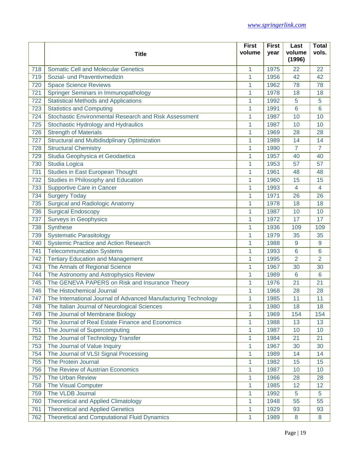|     |                                                                | <b>First</b> | <b>First</b> | Last             | <b>Total</b>    |
|-----|----------------------------------------------------------------|--------------|--------------|------------------|-----------------|
|     | <b>Title</b>                                                   | volume       | year         | volume<br>(1996) | vols.           |
| 718 | <b>Somatic Cell and Molecular Genetics</b>                     | 1            | 1975         | 22               | 22              |
| 719 | Sozial- und Praventivmedizin                                   | 1            | 1956         | 42               | 42              |
| 720 | <b>Space Science Reviews</b>                                   | 1            | 1962         | 78               | 78              |
| 721 | Springer Seminars in Immunopathology                           | 1            | 1978         | 18               | 18              |
| 722 | <b>Statistical Methods and Applications</b>                    | 1            | 1992         | 5                | 5               |
| 723 | <b>Statistics and Computing</b>                                | 1            | 1991         | 6                | 6               |
| 724 | Stochastic Environmental Research and Risk Assessment          | 1            | 1987         | 10               | 10              |
| 725 | Stochastic Hydrology and Hydraulics                            | 1            | 1987         | 10               | 10              |
| 726 | <b>Strength of Materials</b>                                   | 1            | 1969         | 28               | 28              |
| 727 | Structural and Multidisdplinary Optimization                   | 1            | 1989         | 14               | 14              |
| 728 | <b>Structural Chemistry</b>                                    | 1            | 1990         | 7                | 7               |
| 729 | Studia Geophysica et Geodaetica                                | 1            | 1957         | 40               | 40              |
| 730 | Studia Logica                                                  | 1            | 1953         | 57               | 57              |
| 731 | Studies in East European Thought                               | 1            | 1961         | 48               | 48              |
| 732 | Studies in Philosophy and Education                            | 1            | 1960         | 15               | 15              |
| 733 | <b>Supportive Care in Cancer</b>                               | 1            | 1993         | $\overline{4}$   | $\overline{4}$  |
| 734 | <b>Surgery Today</b>                                           | 1            | 1971         | 26               | 26              |
| 735 | <b>Surgical and Radiologic Anatomy</b>                         | 1            | 1978         | 18               | 18              |
| 736 | <b>Surgical Endoscopy</b>                                      | 1            | 1987         | 10               | 10              |
| 737 | <b>Surveys in Geophysics</b>                                   | 1            | 1972         | 17               | 17              |
| 738 | Synthese                                                       | 1            | 1936         | 109              | 109             |
| 739 | <b>Systematic Parasitology</b>                                 | 1            | 1979         | 35               | 35              |
| 740 | Systemic Practice and Action Research                          | 1            | 1988         | 9                | 9               |
| 741 | <b>Telecommunication Systems</b>                               | 1            | 1993         | 6                | $6\phantom{1}6$ |
| 742 | <b>Tertiary Education and Management</b>                       | 1            | 1995         | 2                | $\overline{2}$  |
| 743 | The Annals of Regional Science                                 | 1            | 1967         | 30               | 30              |
| 744 | The Astronomy and Astrophysics Review                          | 1            | 1989         | 6                | 6               |
| 745 | The GENEVA PAPERS on Risk and Insurance Theory                 | 1            | 1976         | 21               | 21              |
| 746 | The Histochemical Journal                                      | 1            | 1968         | 28               | 28              |
| 747 | The International Journal of Advanced Manufacturing Technology | 1            | 1985         | 11               | 11              |
| 748 | The Italian Journal of Neurological Sciences                   | 1            | 1980         | 18               | 18              |
| 749 | The Journal of Membrane Biology                                | 1            | 1969         | 154              | 154             |
| 750 | The Journal of Real Estate Finance and Economics               | 1            | 1988         | 13               | 13              |
| 751 | The Journal of Supercomputing                                  | 1            | 1987         | 10               | 10              |
| 752 | The Journal of Technology Transfer                             | 1            | 1984         | 21               | 21              |
| 753 | The Journal of Value Inquiry                                   | 1            | 1967         | 30               | 30              |
| 754 | The Journal of VLSI Signal Processing                          | 1            | 1989         | 14               | 14              |
| 755 | The Protein Journal                                            | 1            | 1982         | 15               | 15              |
| 756 | The Review of Austrian Economics                               | 1            | 1987         | 10               | 10              |
| 757 | The Urban Review                                               | 1            | 1966         | 28               | 28              |
| 758 | The Visual Computer                                            | 1            | 1985         | 12               | 12              |
| 759 | The VLDB Journal                                               | 1            | 1992         | 5                | 5               |
| 760 | <b>Theoretical and Applied Climatology</b>                     | 1            | 1948         | 55               | 55              |
| 761 | <b>Theoretical and Applied Genetics</b>                        | 1            | 1929         | 93               | 93              |
| 762 | <b>Theoretical and Computational Fluid Dynamics</b>            | 1            | 1989         | 8                | 8               |